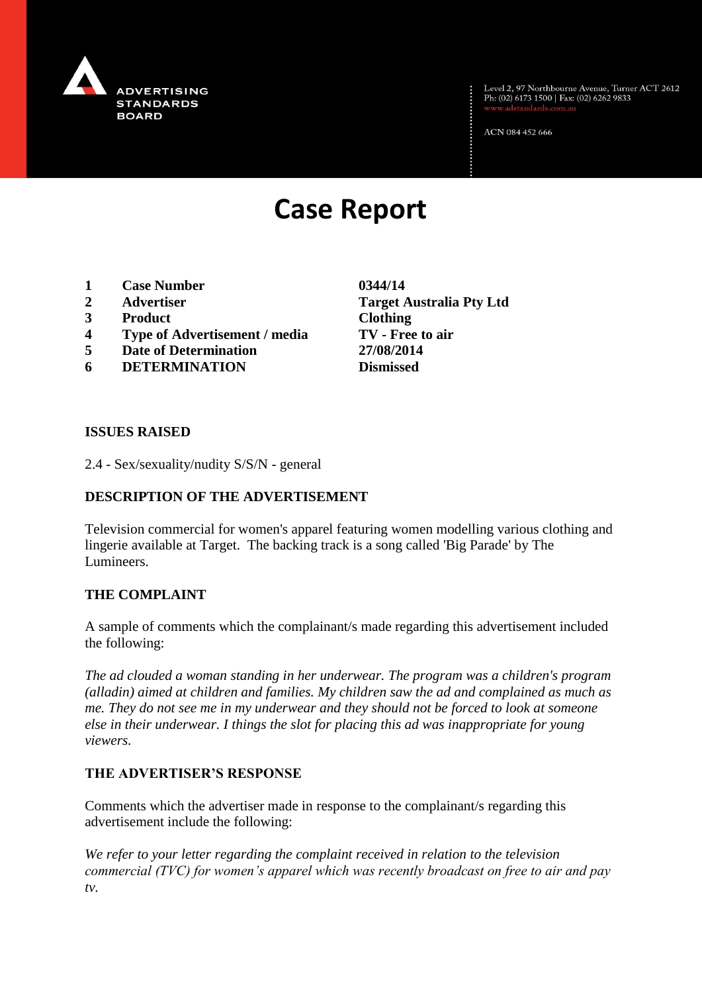

Level 2, 97 Northbourne Avenue, Turner ACT 2612<br>Ph: (02) 6173 1500 | Fax: (02) 6262 9833

ACN 084 452 666

# **Case Report**

- **1 Case Number 0344/14**
- 
- **3 Product Clothing**
- **4 Type of Advertisement / media TV - Free to air**
- **5 Date of Determination 27/08/2014**
- **6 DETERMINATION Dismissed**

**2 Advertiser Target Australia Pty Ltd**

#### **ISSUES RAISED**

2.4 - Sex/sexuality/nudity S/S/N - general

### **DESCRIPTION OF THE ADVERTISEMENT**

Television commercial for women's apparel featuring women modelling various clothing and lingerie available at Target. The backing track is a song called 'Big Parade' by The Lumineers.

#### **THE COMPLAINT**

A sample of comments which the complainant/s made regarding this advertisement included the following:

*The ad clouded a woman standing in her underwear. The program was a children's program (alladin) aimed at children and families. My children saw the ad and complained as much as me. They do not see me in my underwear and they should not be forced to look at someone else in their underwear. I things the slot for placing this ad was inappropriate for young viewers.* 

#### **THE ADVERTISER'S RESPONSE**

Comments which the advertiser made in response to the complainant/s regarding this advertisement include the following:

*We refer to your letter regarding the complaint received in relation to the television commercial (TVC) for women's apparel which was recently broadcast on free to air and pay tv.*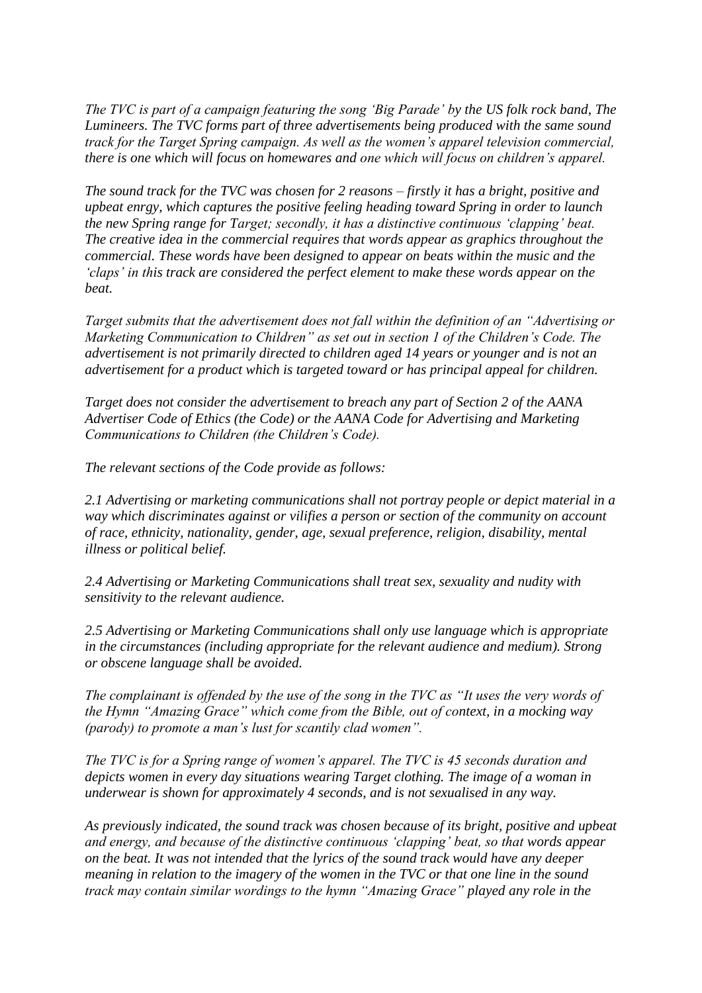*The TVC is part of a campaign featuring the song 'Big Parade' by the US folk rock band, The Lumineers. The TVC forms part of three advertisements being produced with the same sound track for the Target Spring campaign. As well as the women's apparel television commercial, there is one which will focus on homewares and one which will focus on children's apparel.*

*The sound track for the TVC was chosen for 2 reasons – firstly it has a bright, positive and upbeat enrgy, which captures the positive feeling heading toward Spring in order to launch the new Spring range for Target; secondly, it has a distinctive continuous 'clapping' beat. The creative idea in the commercial requires that words appear as graphics throughout the commercial. These words have been designed to appear on beats within the music and the 'claps' in this track are considered the perfect element to make these words appear on the beat.*

*Target submits that the advertisement does not fall within the definition of an "Advertising or Marketing Communication to Children" as set out in section 1 of the Children's Code. The advertisement is not primarily directed to children aged 14 years or younger and is not an advertisement for a product which is targeted toward or has principal appeal for children.*

*Target does not consider the advertisement to breach any part of Section 2 of the AANA Advertiser Code of Ethics (the Code) or the AANA Code for Advertising and Marketing Communications to Children (the Children's Code).*

*The relevant sections of the Code provide as follows:*

*2.1 Advertising or marketing communications shall not portray people or depict material in a way which discriminates against or vilifies a person or section of the community on account of race, ethnicity, nationality, gender, age, sexual preference, religion, disability, mental illness or political belief.*

*2.4 Advertising or Marketing Communications shall treat sex, sexuality and nudity with sensitivity to the relevant audience.*

*2.5 Advertising or Marketing Communications shall only use language which is appropriate in the circumstances (including appropriate for the relevant audience and medium). Strong or obscene language shall be avoided.*

*The complainant is offended by the use of the song in the TVC as "It uses the very words of the Hymn "Amazing Grace" which come from the Bible, out of context, in a mocking way (parody) to promote a man's lust for scantily clad women".*

*The TVC is for a Spring range of women's apparel. The TVC is 45 seconds duration and depicts women in every day situations wearing Target clothing. The image of a woman in underwear is shown for approximately 4 seconds, and is not sexualised in any way.*

*As previously indicated, the sound track was chosen because of its bright, positive and upbeat and energy, and because of the distinctive continuous 'clapping' beat, so that words appear on the beat. It was not intended that the lyrics of the sound track would have any deeper meaning in relation to the imagery of the women in the TVC or that one line in the sound track may contain similar wordings to the hymn "Amazing Grace" played any role in the*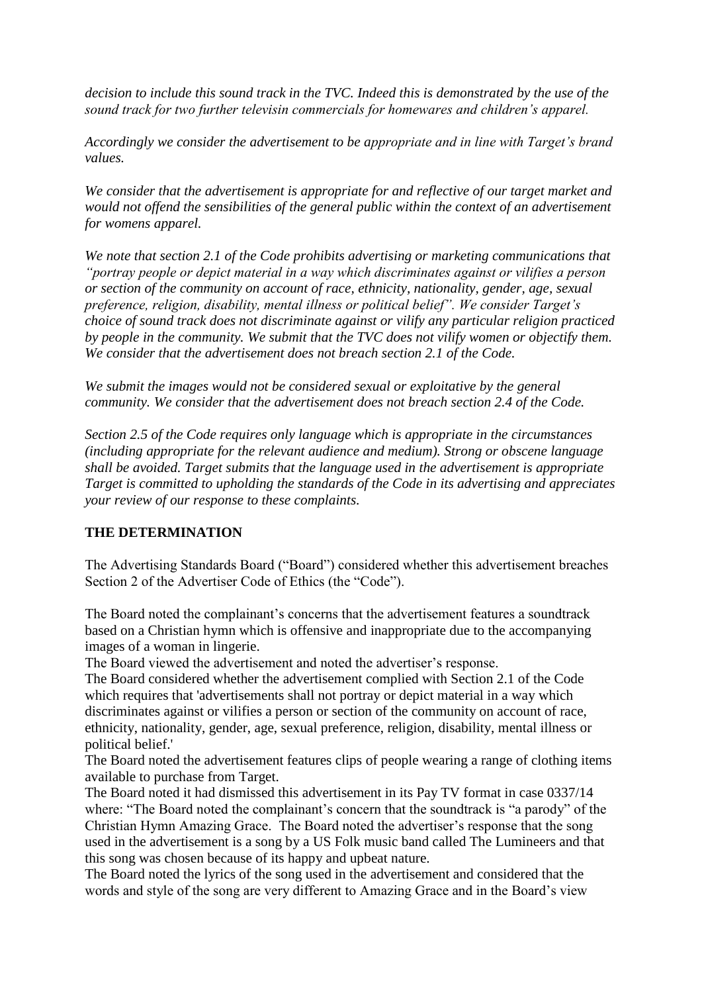*decision to include this sound track in the TVC. Indeed this is demonstrated by the use of the sound track for two further televisin commercials for homewares and children's apparel.*

*Accordingly we consider the advertisement to be appropriate and in line with Target's brand values.*

*We consider that the advertisement is appropriate for and reflective of our target market and would not offend the sensibilities of the general public within the context of an advertisement for womens apparel.*

*We note that section 2.1 of the Code prohibits advertising or marketing communications that "portray people or depict material in a way which discriminates against or vilifies a person or section of the community on account of race, ethnicity, nationality, gender, age, sexual preference, religion, disability, mental illness or political belief". We consider Target's choice of sound track does not discriminate against or vilify any particular religion practiced by people in the community. We submit that the TVC does not vilify women or objectify them. We consider that the advertisement does not breach section 2.1 of the Code.*

We submit the images would not be considered sexual or exploitative by the general *community. We consider that the advertisement does not breach section 2.4 of the Code.*

*Section 2.5 of the Code requires only language which is appropriate in the circumstances (including appropriate for the relevant audience and medium). Strong or obscene language shall be avoided. Target submits that the language used in the advertisement is appropriate Target is committed to upholding the standards of the Code in its advertising and appreciates your review of our response to these complaints.*

## **THE DETERMINATION**

The Advertising Standards Board ("Board") considered whether this advertisement breaches Section 2 of the Advertiser Code of Ethics (the "Code").

The Board noted the complainant's concerns that the advertisement features a soundtrack based on a Christian hymn which is offensive and inappropriate due to the accompanying images of a woman in lingerie.

The Board viewed the advertisement and noted the advertiser's response.

The Board considered whether the advertisement complied with Section 2.1 of the Code which requires that 'advertisements shall not portray or depict material in a way which discriminates against or vilifies a person or section of the community on account of race, ethnicity, nationality, gender, age, sexual preference, religion, disability, mental illness or political belief.'

The Board noted the advertisement features clips of people wearing a range of clothing items available to purchase from Target.

The Board noted it had dismissed this advertisement in its Pay TV format in case 0337/14 where: "The Board noted the complainant's concern that the soundtrack is "a parody" of the Christian Hymn Amazing Grace. The Board noted the advertiser's response that the song used in the advertisement is a song by a US Folk music band called The Lumineers and that this song was chosen because of its happy and upbeat nature.

The Board noted the lyrics of the song used in the advertisement and considered that the words and style of the song are very different to Amazing Grace and in the Board's view